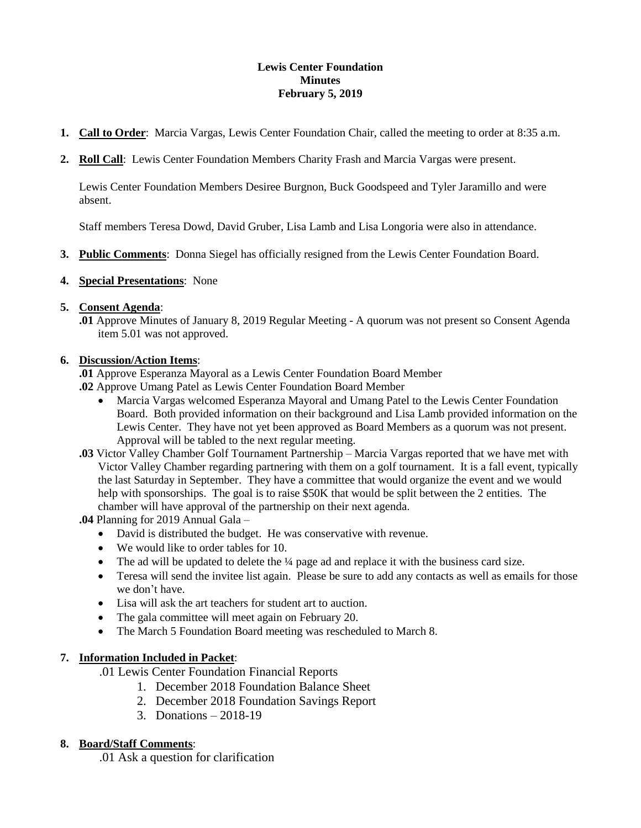### **Lewis Center Foundation Minutes February 5, 2019**

- **1. Call to Order**: Marcia Vargas, Lewis Center Foundation Chair, called the meeting to order at 8:35 a.m.
- **2. Roll Call**: Lewis Center Foundation Members Charity Frash and Marcia Vargas were present.

Lewis Center Foundation Members Desiree Burgnon, Buck Goodspeed and Tyler Jaramillo and were absent.

Staff members Teresa Dowd, David Gruber, Lisa Lamb and Lisa Longoria were also in attendance.

**3. Public Comments**: Donna Siegel has officially resigned from the Lewis Center Foundation Board.

#### **4. Special Presentations**: None

#### **5. Consent Agenda**:

**.01** Approve Minutes of January 8, 2019 Regular Meeting - A quorum was not present so Consent Agenda item 5.01 was not approved.

#### **6. Discussion/Action Items**:

**.01** Approve Esperanza Mayoral as a Lewis Center Foundation Board Member

- **.02** Approve Umang Patel as Lewis Center Foundation Board Member
	- Marcia Vargas welcomed Esperanza Mayoral and Umang Patel to the Lewis Center Foundation Board. Both provided information on their background and Lisa Lamb provided information on the Lewis Center. They have not yet been approved as Board Members as a quorum was not present. Approval will be tabled to the next regular meeting.
- **.03** Victor Valley Chamber Golf Tournament Partnership Marcia Vargas reported that we have met with Victor Valley Chamber regarding partnering with them on a golf tournament. It is a fall event, typically the last Saturday in September. They have a committee that would organize the event and we would help with sponsorships. The goal is to raise \$50K that would be split between the 2 entities. The chamber will have approval of the partnership on their next agenda.

**.04** Planning for 2019 Annual Gala –

- David is distributed the budget. He was conservative with revenue.
- We would like to order tables for 10.
- $\bullet$  The ad will be updated to delete the  $\frac{1}{4}$  page ad and replace it with the business card size.
- Teresa will send the invitee list again. Please be sure to add any contacts as well as emails for those we don't have.
- Lisa will ask the art teachers for student art to auction.
- The gala committee will meet again on February 20.
- The March 5 Foundation Board meeting was rescheduled to March 8.

### **7. Information Included in Packet**:

.01 Lewis Center Foundation Financial Reports

- 1. December 2018 Foundation Balance Sheet
- 2. December 2018 Foundation Savings Report
- 3. Donations 2018-19

### **8. Board/Staff Comments**:

.01 Ask a question for clarification